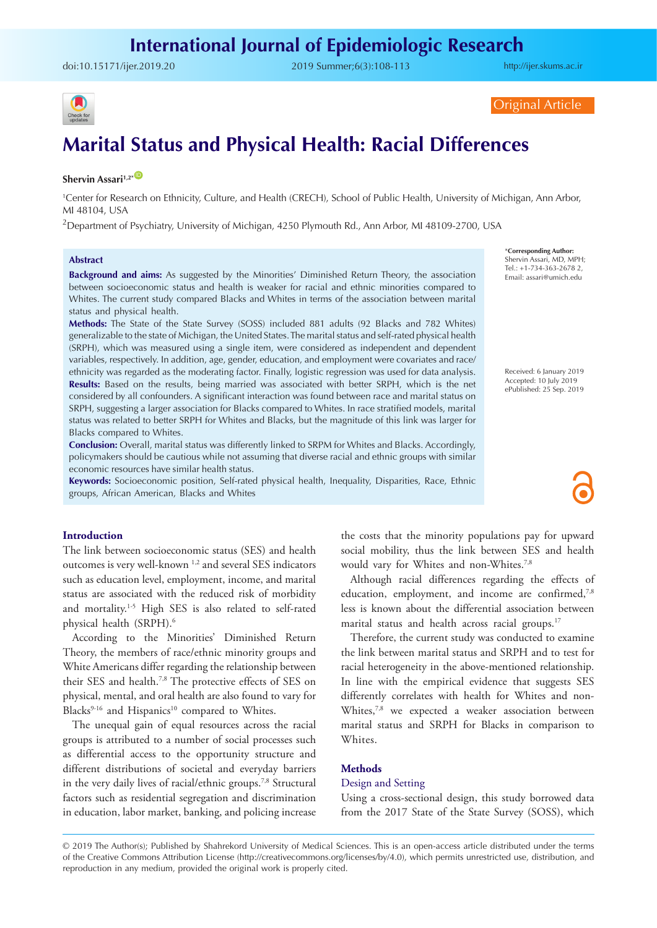doi:10.15171/ijer.2019.20 2019 Summer;6(3):108-113

<http://ijer.skums.ac.ir>



Original Article

# **Marital Status and Physical Health: Racial Differences**

## **Shervin Assari<sup>1,2\*</sup>**

1 Center for Research on Ethnicity, Culture, and Health (CRECH), School of Public Health, University of Michigan, Ann Arbor, MI 48104, USA

 $^2$ Department of Psychiatry, University of Michigan, 4250 Plymouth Rd., Ann Arbor, MI 48109-2700, USA

#### **Abstract**

**Background and aims:** As suggested by the Minorities' Diminished Return Theory, the association between socioeconomic status and health is weaker for racial and ethnic minorities compared to Whites. The current study compared Blacks and Whites in terms of the association between marital status and physical health.

**Methods:** The State of the State Survey (SOSS) included 881 adults (92 Blacks and 782 Whites) generalizable to the state of Michigan, the United States. The marital status and self-rated physical health (SRPH), which was measured using a single item, were considered as independent and dependent variables, respectively. In addition, age, gender, education, and employment were covariates and race/ ethnicity was regarded as the moderating factor. Finally, logistic regression was used for data analysis. **Results:** Based on the results, being married was associated with better SRPH, which is the net considered by all confounders. A significant interaction was found between race and marital status on SRPH, suggesting a larger association for Blacks compared to Whites. In race stratified models, marital status was related to better SRPH for Whites and Blacks, but the magnitude of this link was larger for Blacks compared to Whites.

**Conclusion:** Overall, marital status was differently linked to SRPM for Whites and Blacks. Accordingly, policymakers should be cautious while not assuming that diverse racial and ethnic groups with similar economic resources have similar health status.

**Keywords:** Socioeconomic position, Self-rated physical health, Inequality, Disparities, Race, Ethnic groups, African American, Blacks and Whites

Shervin Assari, MD, MPH; Tel.: +1-734-363-2678 2, Email: assari@umich.edu

\***Corresponding Author:**

Received: 6 January 2019 Accepted: 10 July 2019 ePublished: 25 Sep. 2019

#### **Introduction**

The link between socioeconomic status (SES) and health outcomes is very well-known 1,2 and several SES indicators such as education level, employment, income, and marital status are associated with the reduced risk of morbidity and mortality.<sup>1-5</sup> High SES is also related to self-rated physical health (SRPH).<sup>6</sup>

According to the Minorities' Diminished Return Theory, the members of race/ethnic minority groups and White Americans differ regarding the relationship between their SES and health.7,8 The protective effects of SES on physical, mental, and oral health are also found to vary for Blacks<sup>9-16</sup> and Hispanics<sup>10</sup> compared to Whites.

The unequal gain of equal resources across the racial groups is attributed to a number of social processes such as differential access to the opportunity structure and different distributions of societal and everyday barriers in the very daily lives of racial/ethnic groups.<sup>7,8</sup> Structural factors such as residential segregation and discrimination in education, labor market, banking, and policing increase

the costs that the minority populations pay for upward social mobility, thus the link between SES and health would vary for Whites and non-Whites.7,8

Although racial differences regarding the effects of education, employment, and income are confirmed,<sup>7,8</sup> less is known about the differential association between marital status and health across racial groups.<sup>17</sup>

Therefore, the current study was conducted to examine the link between marital status and SRPH and to test for racial heterogeneity in the above-mentioned relationship. In line with the empirical evidence that suggests SES differently correlates with health for Whites and non-Whites,<sup>7,8</sup> we expected a weaker association between marital status and SRPH for Blacks in comparison to Whites.

## **Methods**

## Design and Setting

Using a cross-sectional design, this study borrowed data from the 2017 State of the State Survey (SOSS), which

<sup>© 2019</sup> The Author(s); Published by Shahrekord University of Medical Sciences. This is an open-access article distributed under the terms of the Creative Commons Attribution License (http://creativecommons.org/licenses/by/4.0), which permits unrestricted use, distribution, and reproduction in any medium, provided the original work is properly cited.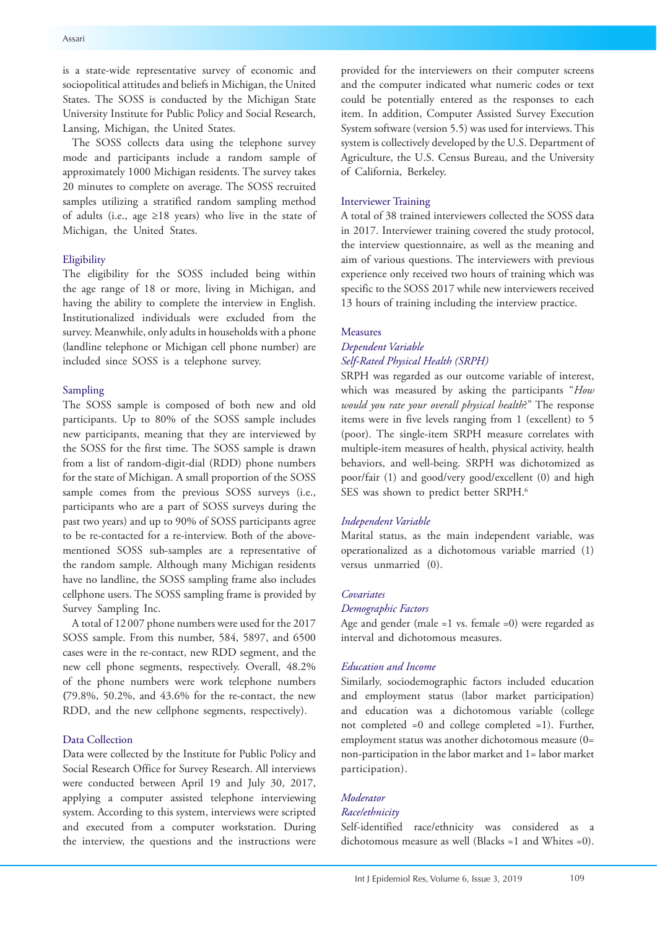is a state-wide representative survey of economic and sociopolitical attitudes and beliefs in Michigan, the United States. The SOSS is conducted by the Michigan State University Institute for Public Policy and Social Research, Lansing, Michigan, the United States.

The SOSS collects data using the telephone survey mode and participants include a random sample of approximately 1000 Michigan residents. The survey takes 20 minutes to complete on average. The SOSS recruited samples utilizing a stratified random sampling method of adults (i.e., age ≥18 years) who live in the state of Michigan, the United States.

#### Eligibility

The eligibility for the SOSS included being within the age range of 18 or more, living in Michigan, and having the ability to complete the interview in English. Institutionalized individuals were excluded from the survey. Meanwhile, only adults in households with a phone (landline telephone or Michigan cell phone number) are included since SOSS is a telephone survey.

## Sampling

The SOSS sample is composed of both new and old participants. Up to 80% of the SOSS sample includes new participants, meaning that they are interviewed by the SOSS for the first time. The SOSS sample is drawn from a list of random-digit-dial (RDD) phone numbers for the state of Michigan. A small proportion of the SOSS sample comes from the previous SOSS surveys (i.e., participants who are a part of SOSS surveys during the past two years) and up to 90% of SOSS participants agree to be re-contacted for a re-interview. Both of the abovementioned SOSS sub-samples are a representative of the random sample. Although many Michigan residents have no landline, the SOSS sampling frame also includes cellphone users. The SOSS sampling frame is provided by Survey Sampling Inc.

A total of 12 007 phone numbers were used for the 2017 SOSS sample. From this number, 584, 5897, and 6500 cases were in the re-contact, new RDD segment, and the new cell phone segments, respectively. Overall, 48.2% of the phone numbers were work telephone numbers **(**79.8%, 50.2%, and 43.6% for the re-contact, the new RDD, and the new cellphone segments, respectively).

#### Data Collection

Data were collected by the Institute for Public Policy and Social Research Office for Survey Research. All interviews were conducted between April 19 and July 30, 2017, applying a computer assisted telephone interviewing system. According to this system, interviews were scripted and executed from a computer workstation. During the interview, the questions and the instructions were provided for the interviewers on their computer screens and the computer indicated what numeric codes or text could be potentially entered as the responses to each item. In addition, Computer Assisted Survey Execution System software (version 5.5) was used for interviews. This system is collectively developed by the U.S. Department of Agriculture, the U.S. Census Bureau, and the University of California, Berkeley.

## Interviewer Training

A total of 38 trained interviewers collected the SOSS data in 2017. Interviewer training covered the study protocol, the interview questionnaire, as well as the meaning and aim of various questions. The interviewers with previous experience only received two hours of training which was specific to the SOSS 2017 while new interviewers received 13 hours of training including the interview practice.

## Measures

## *Dependent Variable Self-Rated Physical Health (SRPH)*

SRPH was regarded as our outcome variable of interest, which was measured by asking the participants "*How would you rate your overall physical health*?" The response items were in five levels ranging from 1 (excellent) to 5 (poor). The single-item SRPH measure correlates with multiple-item measures of health, physical activity, health behaviors, and well-being. SRPH was dichotomized as poor/fair (1) and good/very good/excellent (0) and high SES was shown to predict better SRPH.<sup>6</sup>

#### *Independent Variable*

Marital status, as the main independent variable, was operationalized as a dichotomous variable married (1) versus unmarried (0).

## *Covariates*

## *Demographic Factors*

Age and gender (male =1 vs. female =0) were regarded as interval and dichotomous measures.

#### *Education and Income*

Similarly, sociodemographic factors included education and employment status (labor market participation) and education was a dichotomous variable (college not completed =0 and college completed =1). Further, employment status was another dichotomous measure (0= non-participation in the labor market and 1= labor market participation).

## *Moderator*

## *Race/ethnicity*

Self-identified race/ethnicity was considered as a dichotomous measure as well (Blacks =1 and Whites =0).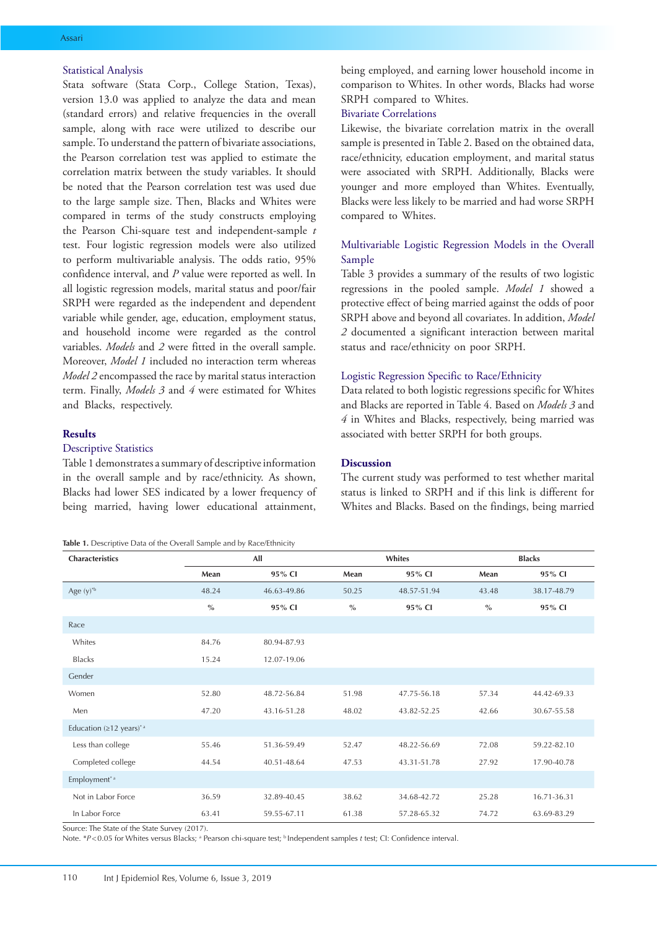## Statistical Analysis

Stata software (Stata Corp., College Station, Texas), version 13.0 was applied to analyze the data and mean (standard errors) and relative frequencies in the overall sample, along with race were utilized to describe our sample. To understand the pattern of bivariate associations, the Pearson correlation test was applied to estimate the correlation matrix between the study variables. It should be noted that the Pearson correlation test was used due to the large sample size. Then, Blacks and Whites were compared in terms of the study constructs employing the Pearson Chi-square test and independent-sample *t* test. Four logistic regression models were also utilized to perform multivariable analysis. The odds ratio, 95% confidence interval, and *P* value were reported as well. In all logistic regression models, marital status and poor/fair SRPH were regarded as the independent and dependent variable while gender, age, education, employment status, and household income were regarded as the control variables. *Models* and *2* were fitted in the overall sample. Moreover, *Model 1* included no interaction term whereas *Model 2* encompassed the race by marital status interaction term. Finally, *Models 3* and *4* were estimated for Whites and Blacks, respectively.

## **Results**

## Descriptive Statistics

Table 1 demonstrates a summary of descriptive information in the overall sample and by race/ethnicity. As shown, Blacks had lower SES indicated by a lower frequency of being married, having lower educational attainment,

**Table 1.** Descriptive Data of the Overall Sample and by Race/Ethnicity

being employed, and earning lower household income in comparison to Whites. In other words, Blacks had worse SRPH compared to Whites.

## Bivariate Correlations

Likewise, the bivariate correlation matrix in the overall sample is presented in Table 2. Based on the obtained data, race/ethnicity, education employment, and marital status were associated with SRPH. Additionally, Blacks were younger and more employed than Whites. Eventually, Blacks were less likely to be married and had worse SRPH compared to Whites.

## Multivariable Logistic Regression Models in the Overall Sample

Table 3 provides a summary of the results of two logistic regressions in the pooled sample. *Model 1* showed a protective effect of being married against the odds of poor SRPH above and beyond all covariates. In addition, *Model 2* documented a significant interaction between marital status and race/ethnicity on poor SRPH.

#### Logistic Regression Specific to Race/Ethnicity

Data related to both logistic regressions specific for Whites and Blacks are reported in Table 4. Based on *Models 3* and *4* in Whites and Blacks, respectively, being married was associated with better SRPH for both groups.

#### **Discussion**

The current study was performed to test whether marital status is linked to SRPH and if this link is different for Whites and Blacks. Based on the findings, being married

| Characteristics                                        | All           |             |               | Whites      |               | <b>Blacks</b> |  |
|--------------------------------------------------------|---------------|-------------|---------------|-------------|---------------|---------------|--|
|                                                        | Mean          | 95% CI      | Mean          | 95% CI      | Mean          | 95% CI        |  |
| Age $(y)^*$                                            | 48.24         | 46.63-49.86 | 50.25         | 48.57-51.94 | 43.48         | 38.17-48.79   |  |
|                                                        | $\frac{0}{0}$ | 95% CI      | $\frac{0}{0}$ | 95% CI      | $\frac{0}{0}$ | 95% CI        |  |
| Race                                                   |               |             |               |             |               |               |  |
| Whites                                                 | 84.76         | 80.94-87.93 |               |             |               |               |  |
| <b>Blacks</b>                                          | 15.24         | 12.07-19.06 |               |             |               |               |  |
| Gender                                                 |               |             |               |             |               |               |  |
| Women                                                  | 52.80         | 48.72-56.84 | 51.98         | 47.75-56.18 | 57.34         | 44.42-69.33   |  |
| Men                                                    | 47.20         | 43.16-51.28 | 48.02         | 43.82-52.25 | 42.66         | 30.67-55.58   |  |
| Education ( $\geq$ 12 years) <sup>*</sup> <sup>a</sup> |               |             |               |             |               |               |  |
| Less than college                                      | 55.46         | 51.36-59.49 | 52.47         | 48.22-56.69 | 72.08         | 59.22-82.10   |  |
| Completed college                                      | 44.54         | 40.51-48.64 | 47.53         | 43.31-51.78 | 27.92         | 17.90-40.78   |  |
| Employment <sup>*a</sup>                               |               |             |               |             |               |               |  |
| Not in Labor Force                                     | 36.59         | 32.89-40.45 | 38.62         | 34.68-42.72 | 25.28         | 16.71-36.31   |  |
| In Labor Force                                         | 63.41         | 59.55-67.11 | 61.38         | 57.28-65.32 | 74.72         | 63.69-83.29   |  |

Source: The State of the State Survey (2017).

Note. \*P<0.05 for Whites versus Blacks; <sup>a</sup> Pearson chi-square test; <sup>b</sup> Independent samples *t* test; CI: Confidence interval.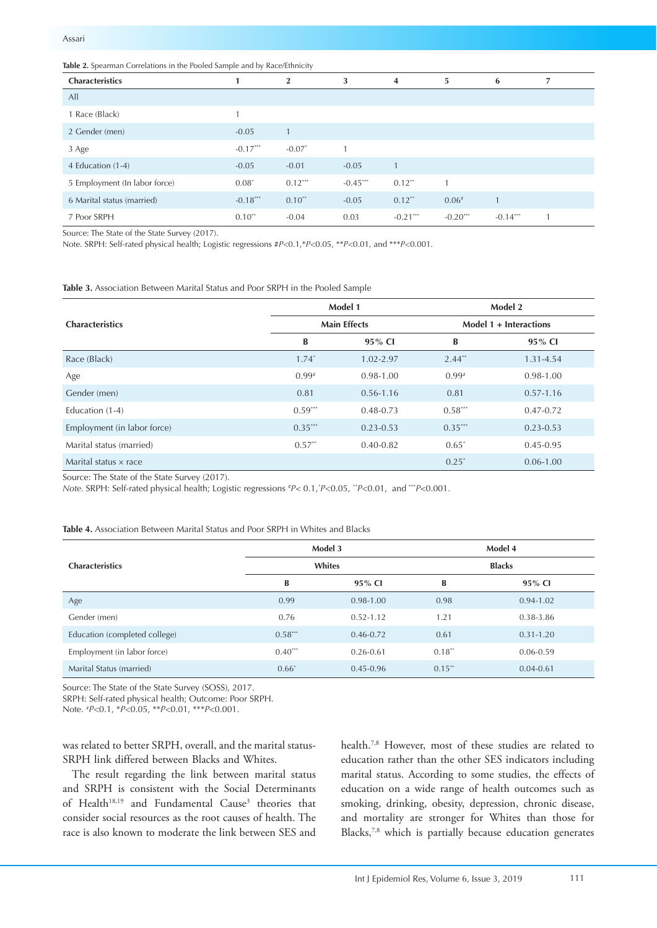| Table 2. Spearman Correlations in the Pooled Sample and by Race/Ethnicity |  |  |  |
|---------------------------------------------------------------------------|--|--|--|
|---------------------------------------------------------------------------|--|--|--|

| Characteristics               |            | $\overline{\mathbf{2}}$ | 3          | $\overline{4}$ | 5          | 6          |  |
|-------------------------------|------------|-------------------------|------------|----------------|------------|------------|--|
| All                           |            |                         |            |                |            |            |  |
| 1 Race (Black)                |            |                         |            |                |            |            |  |
| 2 Gender (men)                | $-0.05$    |                         |            |                |            |            |  |
| 3 Age                         | $-0.17***$ | $-0.07$ <sup>*</sup>    |            |                |            |            |  |
| 4 Education (1-4)             | $-0.05$    | $-0.01$                 | $-0.05$    |                |            |            |  |
| 5 Employment (In labor force) | $0.08*$    | $0.12***$               | $-0.45***$ | $0.12$ **      |            |            |  |
| 6 Marital status (married)    | $-0.18***$ | $0.10$ <sup>**</sup>    | $-0.05$    | $0.12$ **      | $0.06*$    |            |  |
| 7 Poor SRPH                   | $0.10$ **  | $-0.04$                 | 0.03       | $-0.21$ ***    | $-0.20***$ | $-0.14***$ |  |

Source: The State of the State Survey (2017).

Note. SRPH: Self-rated physical health; Logistic regressions #*P*<0.1,\**P*<0.05, \*\**P*<0.01, and \*\*\**P*<0.001.

**Table 3.** Association Between Marital Status and Poor SRPH in the Pooled Sample

|                              |           | Model 1             | Model 2<br>Model 1 + Interactions |               |  |
|------------------------------|-----------|---------------------|-----------------------------------|---------------|--|
| <b>Characteristics</b>       |           | <b>Main Effects</b> |                                   |               |  |
|                              | B         | 95% CI              | B                                 | $95\%$ CI     |  |
| Race (Black)                 | $1.74*$   | $1.02 - 2.97$       | $2.44**$                          | 1.31-4.54     |  |
| Age                          | $0.99*$   | $0.98 - 1.00$       | $0.99*$                           | $0.98 - 1.00$ |  |
| Gender (men)                 | 0.81      | $0.56 - 1.16$       | 0.81                              | $0.57 - 1.16$ |  |
| Education (1-4)              | $0.59***$ | $0.48 - 0.73$       | $0.58***$                         | $0.47 - 0.72$ |  |
| Employment (in labor force)  | $0.35***$ | $0.23 - 0.53$       | $0.35***$                         | $0.23 - 0.53$ |  |
| Marital status (married)     | $0.57**$  | $0.40 - 0.82$       | $0.65*$                           | $0.45 - 0.95$ |  |
| Marital status $\times$ race |           |                     | $0.25^*$                          | $0.06 - 1.00$ |  |

Source: The State of the State Survey (2017).

*Note.* SRPH: Self-rated physical health; Logistic regressions *# P<* 0.1,*\* P*<0.05, *\*\*P*<0.01, and \*\*\**P<*0.001.

**Table 4.** Association Between Marital Status and Poor SRPH in Whites and Blacks

|                               |                       | Model 3       |               | Model 4       |  |  |
|-------------------------------|-----------------------|---------------|---------------|---------------|--|--|
| <b>Characteristics</b>        |                       | Whites        | <b>Blacks</b> |               |  |  |
|                               | B                     | 95% CI        | B             | 95% CI        |  |  |
| Age                           | 0.99                  | $0.98 - 1.00$ | 0.98          | $0.94 - 1.02$ |  |  |
| Gender (men)                  | 0.76                  | $0.52 - 1.12$ | 1.21          | 0.38-3.86     |  |  |
| Education (completed college) | $0.58***$             | $0.46 - 0.72$ | 0.61          | $0.31 - 1.20$ |  |  |
| Employment (in labor force)   | $0.40$ <sup>***</sup> | $0.26 - 0.61$ | 0.18"         | $0.06 - 0.59$ |  |  |
| Marital Status (married)      | $0.66*$               | $0.45 - 0.96$ | $0.15$ **     | $0.04 - 0.61$ |  |  |

Source: The State of the State Survey (SOSS), 2017.

SRPH: Self-rated physical health; Outcome: Poor SRPH.

Note. # *P*<0.1, \**P*<0.05, \*\**P*<0.01, \*\*\**P*<0.001.

was related to better SRPH, overall, and the marital status-SRPH link differed between Blacks and Whites.

The result regarding the link between marital status and SRPH is consistent with the Social Determinants of Health<sup>18,19</sup> and Fundamental Cause<sup>3</sup> theories that consider social resources as the root causes of health. The race is also known to moderate the link between SES and

health.7,8 However, most of these studies are related to education rather than the other SES indicators including marital status. According to some studies, the effects of education on a wide range of health outcomes such as smoking, drinking, obesity, depression, chronic disease, and mortality are stronger for Whites than those for Blacks,<sup>7,8</sup> which is partially because education generates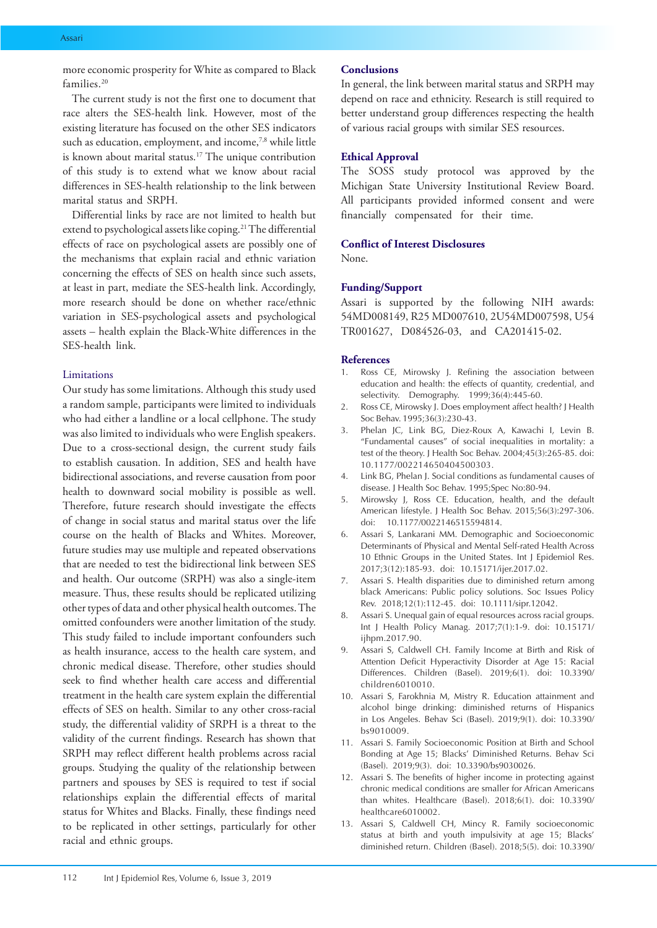more economic prosperity for White as compared to Black families<sup>20</sup>

The current study is not the first one to document that race alters the SES-health link. However, most of the existing literature has focused on the other SES indicators such as education, employment, and income,<sup>7,8</sup> while little is known about marital status.17 The unique contribution of this study is to extend what we know about racial differences in SES-health relationship to the link between marital status and SRPH.

Differential links by race are not limited to health but extend to psychological assets like coping.<sup>21</sup> The differential effects of race on psychological assets are possibly one of the mechanisms that explain racial and ethnic variation concerning the effects of SES on health since such assets, at least in part, mediate the SES-health link. Accordingly, more research should be done on whether race/ethnic variation in SES-psychological assets and psychological assets – health explain the Black-White differences in the SES-health link.

#### Limitations

Our study has some limitations. Although this study used a random sample, participants were limited to individuals who had either a landline or a local cellphone. The study was also limited to individuals who were English speakers. Due to a cross-sectional design, the current study fails to establish causation. In addition, SES and health have bidirectional associations, and reverse causation from poor health to downward social mobility is possible as well. Therefore, future research should investigate the effects of change in social status and marital status over the life course on the health of Blacks and Whites. Moreover, future studies may use multiple and repeated observations that are needed to test the bidirectional link between SES and health. Our outcome (SRPH) was also a single-item measure. Thus, these results should be replicated utilizing other types of data and other physical health outcomes. The omitted confounders were another limitation of the study. This study failed to include important confounders such as health insurance, access to the health care system, and chronic medical disease. Therefore, other studies should seek to find whether health care access and differential treatment in the health care system explain the differential effects of SES on health. Similar to any other cross-racial study, the differential validity of SRPH is a threat to the validity of the current findings. Research has shown that SRPH may reflect different health problems across racial groups. Studying the quality of the relationship between partners and spouses by SES is required to test if social relationships explain the differential effects of marital status for Whites and Blacks. Finally, these findings need to be replicated in other settings, particularly for other racial and ethnic groups.

#### **Conclusions**

In general, the link between marital status and SRPH may depend on race and ethnicity. Research is still required to better understand group differences respecting the health of various racial groups with similar SES resources.

#### **Ethical Approval**

The SOSS study protocol was approved by the Michigan State University Institutional Review Board. All participants provided informed consent and were financially compensated for their time.

#### **Conflict of Interest Disclosures**

None.

#### **Funding/Support**

Assari is supported by the following NIH awards: 54MD008149, R25 MD007610, 2U54MD007598, U54 TR001627, D084526-03, and CA201415-02.

#### **References**

- 1. Ross CE, Mirowsky J. Refining the association between education and health: the effects of quantity, credential, and selectivity. Demography. 1999;36(4):445-60.
- 2. Ross CE, Mirowsky J. Does employment affect health? J Health Soc Behav. 1995;36(3):230-43.
- 3. Phelan JC, Link BG, Diez-Roux A, Kawachi I, Levin B. "Fundamental causes" of social inequalities in mortality: a test of the theory. J Health Soc Behav. 2004;45(3):265-85. doi: 10.1177/002214650404500303.
- 4. Link BG, Phelan J. Social conditions as fundamental causes of disease. J Health Soc Behav. 1995;Spec No:80-94.
- 5. Mirowsky J, Ross CE. Education, health, and the default American lifestyle. J Health Soc Behav. 2015;56(3):297-306. doi: 10.1177/0022146515594814.
- 6. Assari S, Lankarani MM. Demographic and Socioeconomic Determinants of Physical and Mental Self-rated Health Across 10 Ethnic Groups in the United States. Int J Epidemiol Res. 2017;3(12):185-93. doi: 10.15171/ijer.2017.02.
- 7. Assari S. Health disparities due to diminished return among black Americans: Public policy solutions. Soc Issues Policy Rev. 2018;12(1):112-45. doi: 10.1111/sipr.12042.
- Assari S. Unequal gain of equal resources across racial groups. Int J Health Policy Manag. 2017;7(1):1-9. doi: 10.15171/ ijhpm.2017.90.
- 9. Assari S, Caldwell CH. Family Income at Birth and Risk of Attention Deficit Hyperactivity Disorder at Age 15: Racial Differences. Children (Basel). 2019;6(1). doi: 10.3390/ children6010010.
- 10. Assari S, Farokhnia M, Mistry R. Education attainment and alcohol binge drinking: diminished returns of Hispanics in Los Angeles. Behav Sci (Basel). 2019;9(1). doi: 10.3390/ bs9010009.
- 11. Assari S. Family Socioeconomic Position at Birth and School Bonding at Age 15; Blacks' Diminished Returns. Behav Sci (Basel). 2019;9(3). doi: 10.3390/bs9030026.
- 12. Assari S. The benefits of higher income in protecting against chronic medical conditions are smaller for African Americans than whites. Healthcare (Basel). 2018;6(1). doi: 10.3390/ healthcare6010002.
- 13. Assari S, Caldwell CH, Mincy R. Family socioeconomic status at birth and youth impulsivity at age 15; Blacks' diminished return. Children (Basel). 2018;5(5). doi: 10.3390/